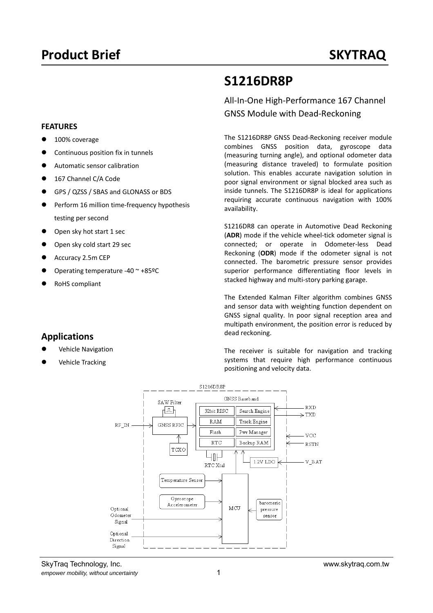# **S1216DR8P**

All‐In‐One High‐Performance 167 Channel GNSS Module with Dead‐Reckoning

The S1216DR8P GNSS Dead‐Reckoning receiver module combines GNSS position data, gyroscope data (measuring turning angle), and optional odometer data (measuring distance traveled) to formulate position solution. This enables accurate navigation solution in poor signal environment or signal blocked area such as inside tunnels. The S1216DR8P is ideal for applications requiring accurate continuous navigation with 100% availability.

S1216DR8 can operate in Automotive Dead Reckoning (**ADR**) mode if the vehicle wheel‐tick odometer signal is connected; or operate in Odometer‐less Dead Reckoning (**ODR**) mode if the odometer signal is not connected. The barometric pressure sensor provides superior performance differentiating floor levels in stacked highway and multi‐story parking garage.

The Extended Kalman Filter algorithm combines GNSS and sensor data with weighting function dependent on GNSS signal quality. In poor signal reception area and multipath environment, the position error is reduced by dead reckoning.

The receiver is suitable for navigation and tracking systems that require high performance continuous



baromeric

pressure

sensor

## 100% coverage Continuous position fix in tunnels

**FEATURES** 

- Automatic sensor calibration
- 167 Channel C/A Code
- GPS / QZSS / SBAS and GLONASS or BDS
- Perform 16 million time-frequency hypothesis testing per second

 $RF\_IN$ 

Optional

Odometer

 $\operatorname{Signal}$ Optional Direction Signal

- Open sky hot start 1 sec
- Open sky cold start 29 sec
- Accuracy 2.5m CEP
- Operating temperature ‐40 ~ +85ºC
- RoHS compliant

## **Applications**

- Vehicle Navigation
- Vehicle Tracking

SkyTraq Technology, Inc. www.skytraq.com.tw *empower mobility, without uncertainty* 1

MCIT

Gyroscope

Accelerometer